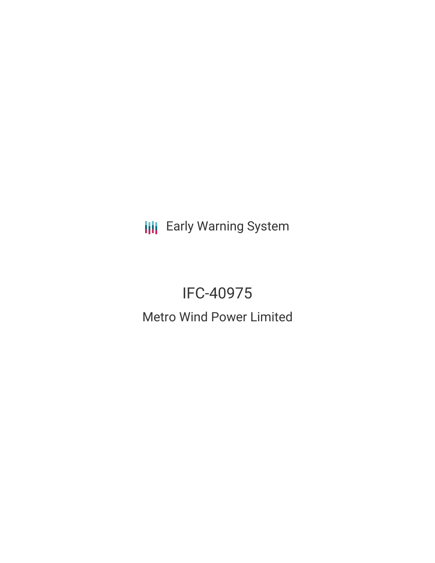**III** Early Warning System

# IFC-40975 Metro Wind Power Limited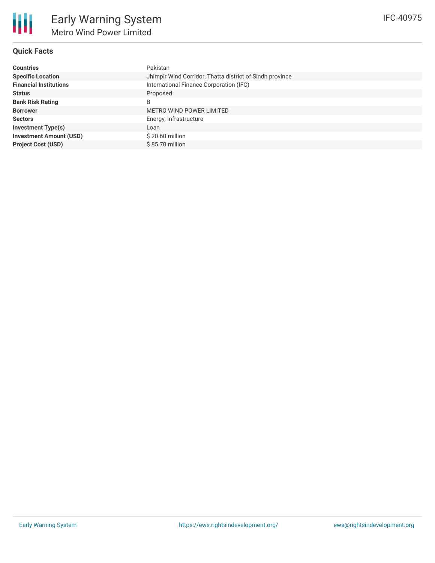

## **Quick Facts**

| <b>Countries</b>               | Pakistan                                                 |
|--------------------------------|----------------------------------------------------------|
| <b>Specific Location</b>       | Jhimpir Wind Corridor, Thatta district of Sindh province |
| <b>Financial Institutions</b>  | International Finance Corporation (IFC)                  |
| <b>Status</b>                  | Proposed                                                 |
| <b>Bank Risk Rating</b>        | B                                                        |
| <b>Borrower</b>                | <b>METRO WIND POWER LIMITED</b>                          |
| <b>Sectors</b>                 | Energy, Infrastructure                                   |
| <b>Investment Type(s)</b>      | Loan                                                     |
| <b>Investment Amount (USD)</b> | $$20.60$ million                                         |
| <b>Project Cost (USD)</b>      | $$85.70$ million                                         |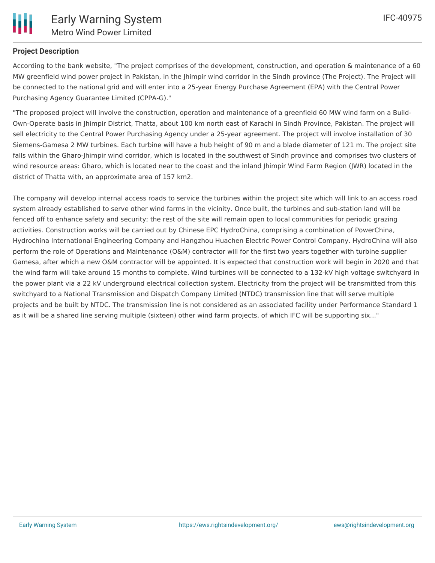## **Project Description**

According to the bank website, "The project comprises of the development, construction, and operation & maintenance of a 60 MW greenfield wind power project in Pakistan, in the Jhimpir wind corridor in the Sindh province (The Project). The Project will be connected to the national grid and will enter into a 25-year Energy Purchase Agreement (EPA) with the Central Power Purchasing Agency Guarantee Limited (CPPA-G)."

"The proposed project will involve the construction, operation and maintenance of a greenfield 60 MW wind farm on a Build-Own-Operate basis in Jhimpir District, Thatta, about 100 km north east of Karachi in Sindh Province, Pakistan. The project will sell electricity to the Central Power Purchasing Agency under a 25-year agreement. The project will involve installation of 30 Siemens-Gamesa 2 MW turbines. Each turbine will have a hub height of 90 m and a blade diameter of 121 m. The project site falls within the Gharo-Jhimpir wind corridor, which is located in the southwest of Sindh province and comprises two clusters of wind resource areas: Gharo, which is located near to the coast and the inland Jhimpir Wind Farm Region (JWR) located in the district of Thatta with, an approximate area of 157 km2.

The company will develop internal access roads to service the turbines within the project site which will link to an access road system already established to serve other wind farms in the vicinity. Once built, the turbines and sub-station land will be fenced off to enhance safety and security; the rest of the site will remain open to local communities for periodic grazing activities. Construction works will be carried out by Chinese EPC HydroChina, comprising a combination of PowerChina, Hydrochina International Engineering Company and Hangzhou Huachen Electric Power Control Company. HydroChina will also perform the role of Operations and Maintenance (O&M) contractor will for the first two years together with turbine supplier Gamesa, after which a new O&M contractor will be appointed. It is expected that construction work will begin in 2020 and that the wind farm will take around 15 months to complete. Wind turbines will be connected to a 132-kV high voltage switchyard in the power plant via a 22 kV underground electrical collection system. Electricity from the project will be transmitted from this switchyard to a National Transmission and Dispatch Company Limited (NTDC) transmission line that will serve multiple projects and be built by NTDC. The transmission line is not considered as an associated facility under Performance Standard 1 as it will be a shared line serving multiple (sixteen) other wind farm projects, of which IFC will be supporting six..."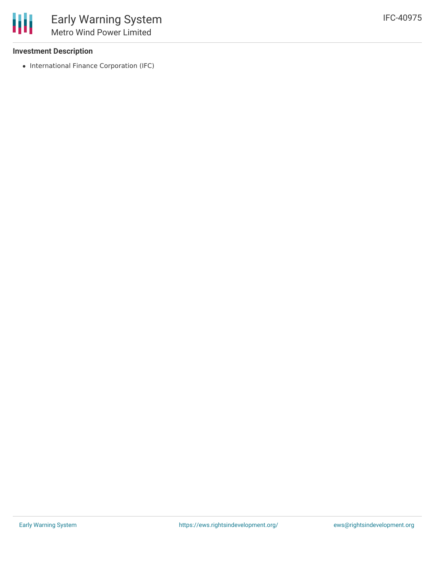## **Investment Description**

• International Finance Corporation (IFC)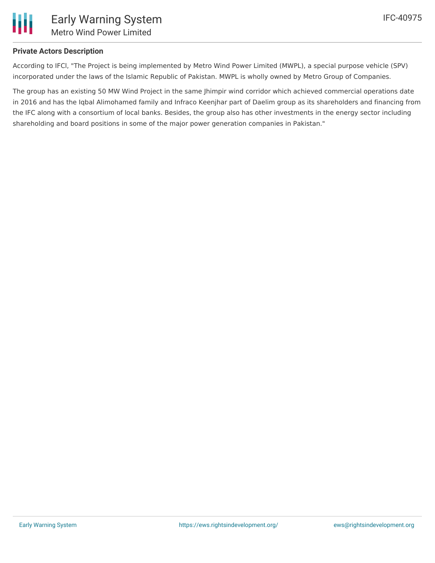

## **Private Actors Description**

According to IFCl, "The Project is being implemented by Metro Wind Power Limited (MWPL), a special purpose vehicle (SPV) incorporated under the laws of the Islamic Republic of Pakistan. MWPL is wholly owned by Metro Group of Companies.

The group has an existing 50 MW Wind Project in the same Jhimpir wind corridor which achieved commercial operations date in 2016 and has the Iqbal Alimohamed family and Infraco Keenjhar part of Daelim group as its shareholders and financing from the IFC along with a consortium of local banks. Besides, the group also has other investments in the energy sector including shareholding and board positions in some of the major power generation companies in Pakistan."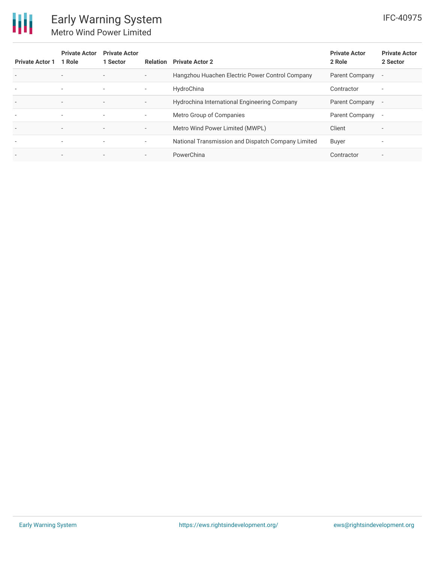

| <b>Private Actor 1</b>   | <b>Private Actor</b><br>1 Role | <b>Private Actor</b><br>1 Sector |                          | <b>Relation</b> Private Actor 2                    | <b>Private Actor</b><br>2 Role | <b>Private Actor</b><br>2 Sector |
|--------------------------|--------------------------------|----------------------------------|--------------------------|----------------------------------------------------|--------------------------------|----------------------------------|
| $\overline{\phantom{a}}$ | $\overline{\phantom{a}}$       | $\overline{\phantom{a}}$         | $\overline{\phantom{a}}$ | Hangzhou Huachen Electric Power Control Company    | Parent Company                 | $\overline{\phantom{a}}$         |
| $\overline{\phantom{a}}$ | $\overline{\phantom{a}}$       | $\sim$                           | $\sim$                   | HydroChina                                         | Contractor                     | $\overline{\phantom{a}}$         |
| $\overline{\phantom{a}}$ | $\overline{\phantom{a}}$       | $\overline{\phantom{a}}$         | $\overline{\phantom{a}}$ | Hydrochina International Engineering Company       | Parent Company                 | $\overline{\phantom{a}}$         |
| $\overline{\phantom{a}}$ | $\overline{\phantom{a}}$       | $\sim$                           | ٠.                       | Metro Group of Companies                           | Parent Company                 | $\overline{\phantom{a}}$         |
| $\overline{\phantom{a}}$ | $\overline{\phantom{a}}$       | $\overline{\phantom{a}}$         | $\overline{\phantom{a}}$ | Metro Wind Power Limited (MWPL)                    | Client                         | $\overline{\phantom{a}}$         |
| $\overline{\phantom{a}}$ | $\overline{\phantom{a}}$       | $\sim$                           | ٠.                       | National Transmission and Dispatch Company Limited | Buyer                          | $\overline{\phantom{a}}$         |
| $\overline{\phantom{a}}$ | $\overline{\phantom{a}}$       | $\overline{\phantom{a}}$         | $\overline{\phantom{0}}$ | PowerChina                                         | Contractor                     | $\overline{\phantom{a}}$         |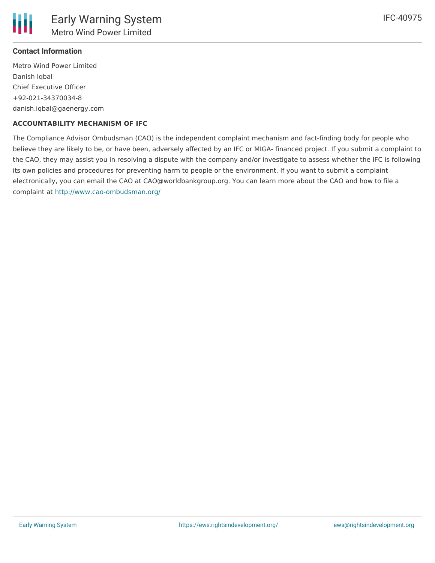

#### **Contact Information**

Metro Wind Power Limited Danish Iqbal Chief Executive Officer +92-021-34370034-8 danish.iqbal@gaenergy.com

#### **ACCOUNTABILITY MECHANISM OF IFC**

The Compliance Advisor Ombudsman (CAO) is the independent complaint mechanism and fact-finding body for people who believe they are likely to be, or have been, adversely affected by an IFC or MIGA- financed project. If you submit a complaint to the CAO, they may assist you in resolving a dispute with the company and/or investigate to assess whether the IFC is following its own policies and procedures for preventing harm to people or the environment. If you want to submit a complaint electronically, you can email the CAO at CAO@worldbankgroup.org. You can learn more about the CAO and how to file a complaint at <http://www.cao-ombudsman.org/>